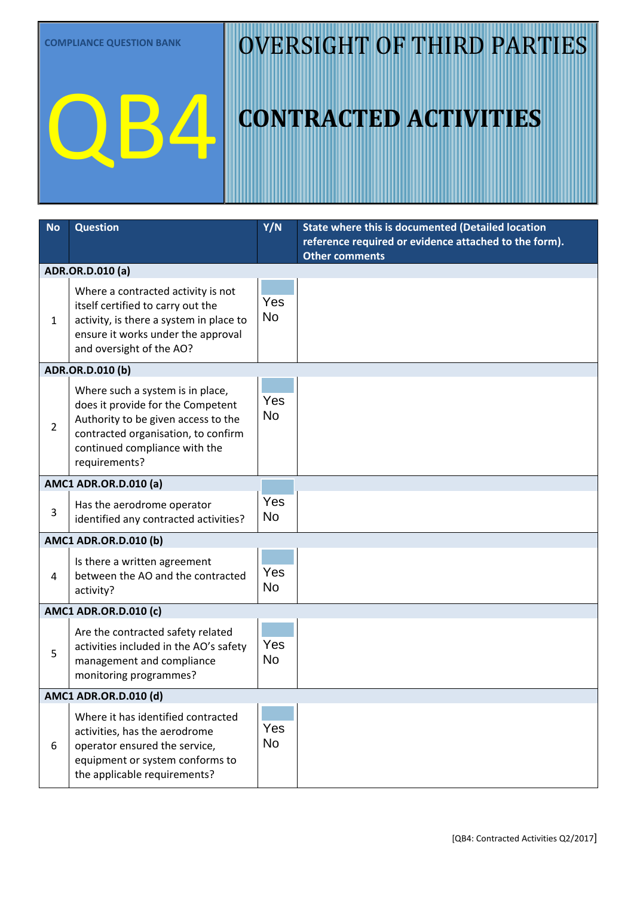**COMPLIANCE QUESTION BANK**

QB4

## OVERSIGHT OF THIRD PARTIES

## **CONTRACTED ACTIVITIES**

| <b>No</b>                    | <b>Question</b>                                                                                                                                                                                       | Y/N              | State where this is documented (Detailed location<br>reference required or evidence attached to the form).<br><b>Other comments</b> |  |  |
|------------------------------|-------------------------------------------------------------------------------------------------------------------------------------------------------------------------------------------------------|------------------|-------------------------------------------------------------------------------------------------------------------------------------|--|--|
|                              | ADR.OR.D.010 (a)                                                                                                                                                                                      |                  |                                                                                                                                     |  |  |
| 1                            | Where a contracted activity is not<br>itself certified to carry out the<br>activity, is there a system in place to<br>ensure it works under the approval<br>and oversight of the AO?                  | Yes<br><b>No</b> |                                                                                                                                     |  |  |
| ADR.OR.D.010 (b)             |                                                                                                                                                                                                       |                  |                                                                                                                                     |  |  |
| $\overline{2}$               | Where such a system is in place,<br>does it provide for the Competent<br>Authority to be given access to the<br>contracted organisation, to confirm<br>continued compliance with the<br>requirements? | Yes<br><b>No</b> |                                                                                                                                     |  |  |
| <b>AMC1 ADR.OR.D.010 (a)</b> |                                                                                                                                                                                                       |                  |                                                                                                                                     |  |  |
| 3                            | Has the aerodrome operator<br>identified any contracted activities?                                                                                                                                   | Yes<br><b>No</b> |                                                                                                                                     |  |  |
| <b>AMC1 ADR.OR.D.010 (b)</b> |                                                                                                                                                                                                       |                  |                                                                                                                                     |  |  |
| 4                            | Is there a written agreement<br>between the AO and the contracted<br>activity?                                                                                                                        | Yes<br><b>No</b> |                                                                                                                                     |  |  |
| <b>AMC1 ADR.OR.D.010 (c)</b> |                                                                                                                                                                                                       |                  |                                                                                                                                     |  |  |
| 5                            | Are the contracted safety related<br>activities included in the AO's safety<br>management and compliance<br>monitoring programmes?                                                                    | Yes<br><b>No</b> |                                                                                                                                     |  |  |
| AMC1 ADR.OR.D.010 (d)        |                                                                                                                                                                                                       |                  |                                                                                                                                     |  |  |
| 6                            | Where it has identified contracted<br>activities, has the aerodrome<br>operator ensured the service,<br>equipment or system conforms to<br>the applicable requirements?                               | Yes<br><b>No</b> |                                                                                                                                     |  |  |